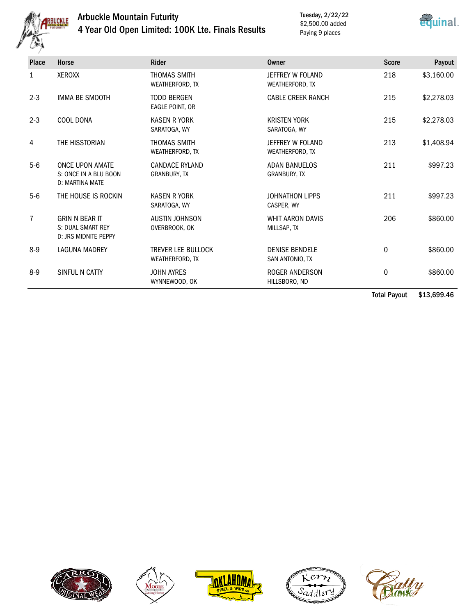

## Arbuckle Mountain Futurity 4 Year Old Open Limited: 100K Lte. Finals Results

Tuesday, 2/22/22 \$2,500.00 added Paying 9 places



| <b>Place</b> | Horse                                                              | <b>Rider</b>                                 | Owner                                       | <b>Score</b> | Payout     |
|--------------|--------------------------------------------------------------------|----------------------------------------------|---------------------------------------------|--------------|------------|
| 1            | XEROXX                                                             | <b>THOMAS SMITH</b><br>WEATHERFORD, TX       | JEFFREY W FOLAND<br>WEATHERFORD, TX         | 218          | \$3,160.00 |
| $2 - 3$      | <b>IMMA BE SMOOTH</b>                                              | <b>TODD BERGEN</b><br>EAGLE POINT, OR        | <b>CABLE CREEK RANCH</b>                    | 215          | \$2,278.03 |
| $2 - 3$      | COOL DONA                                                          | <b>KASEN R YORK</b><br>SARATOGA, WY          | <b>KRISTEN YORK</b><br>SARATOGA, WY         | 215          | \$2,278.03 |
| 4            | THE HISSTORIAN                                                     | <b>THOMAS SMITH</b><br>WEATHERFORD, TX       | JEFFREY W FOLAND<br>WEATHERFORD, TX         | 213          | \$1,408.94 |
| $5-6$        | <b>ONCE UPON AMATE</b><br>S: ONCE IN A BLU BOON<br>D: MARTINA MATE | <b>CANDACE RYLAND</b><br><b>GRANBURY, TX</b> | <b>ADAN BANUELOS</b><br><b>GRANBURY, TX</b> | 211          | \$997.23   |
| $5-6$        | THE HOUSE IS ROCKIN                                                | <b>KASEN R YORK</b><br>SARATOGA, WY          | <b>JOHNATHON LIPPS</b><br>CASPER, WY        | 211          | \$997.23   |
| 7            | <b>GRIN N BEAR IT</b><br>S: DUAL SMART REY<br>D: JRS MIDNITE PEPPY | <b>AUSTIN JOHNSON</b><br>OVERBROOK, OK       | <b>WHIT AARON DAVIS</b><br>MILLSAP, TX      | 206          | \$860.00   |
| $8-9$        | <b>LAGUNA MADREY</b>                                               | <b>TREVER LEE BULLOCK</b><br>WEATHERFORD, TX | <b>DENISE BENDELE</b><br>SAN ANTONIO, TX    | 0            | \$860.00   |
| $8-9$        | SINFUL N CATTY                                                     | <b>JOHN AYRES</b><br>WYNNEWOOD, OK           | ROGER ANDERSON<br>HILLSBORO, ND             | 0            | \$860.00   |

Total Payout \$13,699.46









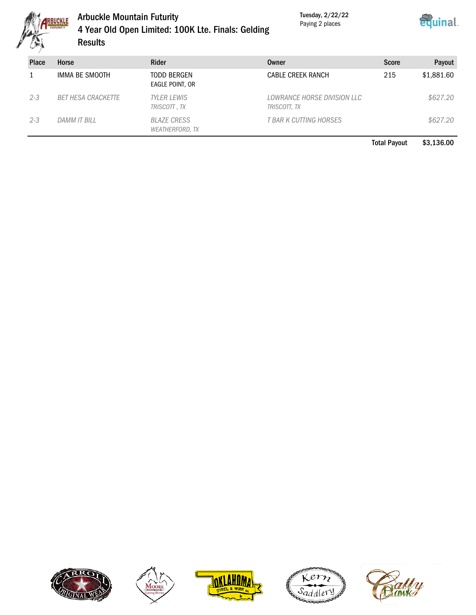

## Arbuckle Mountain Futurity 4 Year Old Open Limited: 100K Lte. Finals: Gelding Results

Tuesday, 2/22/22 Paying 2 places



| <b>Place</b> | Horse                     | <b>Rider</b>                          | Owner                                       | <b>Score</b> | Payout     |
|--------------|---------------------------|---------------------------------------|---------------------------------------------|--------------|------------|
|              | IMMA BE SMOOTH            | <b>TODD BERGEN</b><br>EAGLE POINT, OR | <b>CABLE CREEK RANCH</b>                    | 215          | \$1,881.60 |
| $2 - 3$      | <b>BET HESA CRACKETTE</b> | <b>TYLER LEWIS</b><br>TRISCOTT, TX    | LOWRANCE HORSE DIVISION LLC<br>TRISCOTT, TX |              | \$627.20   |
| $2 - 3$      | DAMM IT BILL              | <b>BLAZE CRESS</b><br>WEATHERFORD, TX | T BAR K CUTTING HORSES                      |              | \$627.20   |

Total Payout \$3,136.00









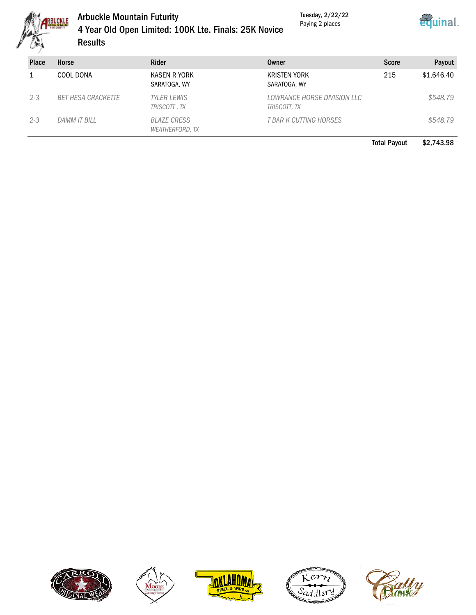

## Arbuckle Mountain Futurity 4 Year Old Open Limited: 100K Lte. Finals: 25K Novice **Results**

Tuesday, 2/22/22 Paying 2 places



| <b>Place</b> | Horse                     | Rider                                        | Owner                                       | <b>Score</b> | Payout     |
|--------------|---------------------------|----------------------------------------------|---------------------------------------------|--------------|------------|
|              | COOL DONA                 | KASEN R YORK<br>SARATOGA, WY                 | <b>KRISTEN YORK</b><br>SARATOGA, WY         | 215          | \$1,646.40 |
| $2 - 3$      | <b>BET HESA CRACKETTE</b> | <b>TYLER LEWIS</b><br>TRISCOTT, TX           | LOWRANCE HORSE DIVISION LLC<br>TRISCOTT, TX |              | \$548.79   |
| $2 - 3$      | DAMM IT BILL              | <b>BLAZE CRESS</b><br><b>WEATHERFORD, TX</b> | T BAR K CUTTING HORSES                      |              | \$548.79   |

Total Payout \$2,743.98